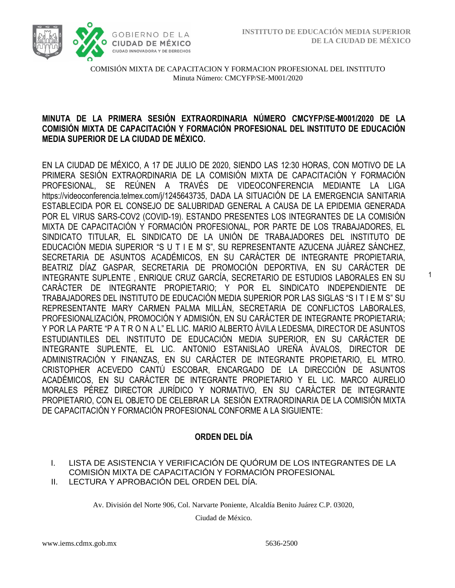1



COMISIÓN MIXTA DE CAPACITACION Y FORMACION PROFESIONAL DEL INSTITUTO Minuta Número: CMCYFP/SE-M001/2020

#### **MINUTA DE LA PRIMERA SESIÓN EXTRAORDINARIA NÚMERO CMCYFP/SE-M001/2020 DE LA COMISIÓN MIXTA DE CAPACITACIÓN Y FORMACIÓN PROFESIONAL DEL INSTITUTO DE EDUCACIÓN MEDIA SUPERIOR DE LA CIUDAD DE MÉXICO.**

EN LA CIUDAD DE MÉXICO, A 17 DE JULIO DE 2020, SIENDO LAS 12:30 HORAS, CON MOTIVO DE LA PRIMERA SESIÓN EXTRAORDINARIA DE LA COMISIÓN MIXTA DE CAPACITACIÓN Y FORMACIÓN PROFESIONAL, SE REÚNEN A TRAVÉS DE VIDEOCONFERENCIA MEDIANTE LA LIGA https://videoconferencia.telmex.com/j/1245643735, DADA LA SITUACIÓN DE LA EMERGENCIA SANITARIA ESTABLECIDA POR EL CONSEJO DE SALUBRIDAD GENERAL A CAUSA DE LA EPIDEMIA GENERADA POR EL VIRUS SARS-COV2 (COVID-19). ESTANDO PRESENTES LOS INTEGRANTES DE LA COMISIÓN MIXTA DE CAPACITACIÓN Y FORMACIÓN PROFESIONAL, POR PARTE DE LOS TRABAJADORES, EL SINDICATO TITULAR, EL SINDICATO DE LA UNIÓN DE TRABAJADORES DEL INSTITUTO DE EDUCACIÓN MEDIA SUPERIOR "S U T I E M S", SU REPRESENTANTE AZUCENA JUÁREZ SÁNCHEZ, SECRETARIA DE ASUNTOS ACADÉMICOS, EN SU CARÁCTER DE INTEGRANTE PROPIETARIA, BEATRIZ DÍAZ GASPAR, SECRETARIA DE PROMOCIÓN DEPORTIVA, EN SU CARÁCTER DE INTEGRANTE SUPLENTE , ENRIQUE CRUZ GARCÍA, SECRETARIO DE ESTUDIOS LABORALES EN SU CARÁCTER DE INTEGRANTE PROPIETARIO; Y POR EL SINDICATO INDEPENDIENTE DE TRABAJADORES DEL INSTITUTO DE EDUCACIÓN MEDIA SUPERIOR POR LAS SIGLAS "S I T I E M S" SU REPRESENTANTE MARY CARMEN PALMA MILLÁN, SECRETARIA DE CONFLICTOS LABORALES, PROFESIONALIZACIÓN, PROMOCIÓN Y ADMISIÓN, EN SU CARÁCTER DE INTEGRANTE PROPIETARIA; Y POR LA PARTE "P A T R O N A L" EL LIC. MARIO ALBERTO ÁVILA LEDESMA, DIRECTOR DE ASUNTOS ESTUDIANTILES DEL INSTITUTO DE EDUCACIÓN MEDIA SUPERIOR, EN SU CARÁCTER DE INTEGRANTE SUPLENTE, EL LIC. ANTONIO ESTANISLAO UREÑA ÁVALOS, DIRECTOR DE ADMINISTRACIÓN Y FINANZAS, EN SU CARÁCTER DE INTEGRANTE PROPIETARIO, EL MTRO. CRISTOPHER ACEVEDO CANTÚ ESCOBAR, ENCARGADO DE LA DIRECCIÓN DE ASUNTOS ACADÉMICOS, EN SU CARÁCTER DE INTEGRANTE PROPIETARIO Y EL LIC. MARCO AURELIO MORALES PÉREZ DIRECTOR JURÍDICO Y NORMATIVO, EN SU CARÁCTER DE INTEGRANTE PROPIETARIO, CON EL OBJETO DE CELEBRAR LA SESIÓN EXTRAORDINARIA DE LA COMISIÓN MIXTA DE CAPACITACIÓN Y FORMACIÓN PROFESIONAL CONFORME A LA SIGUIENTE:

# **ORDEN DEL DÍA**

- I. LISTA DE ASISTENCIA Y VERIFICACIÓN DE QUÓRUM DE LOS INTEGRANTES DE LA COMISIÓN MIXTA DE CAPACITACIÓN Y FORMACIÓN PROFESIONAL
- II. LECTURA Y APROBACIÓN DEL ORDEN DEL DÍA.

Av. División del Norte 906, Col. Narvarte Poniente, Alcaldía Benito Juárez C.P. 03020,

Ciudad de México.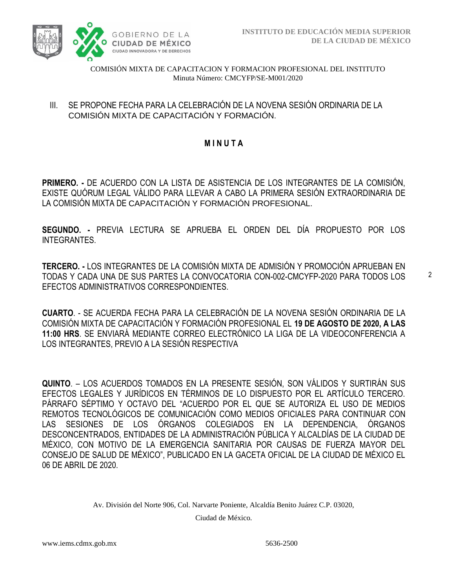

#### III. SE PROPONE FECHA PARA LA CELEBRACIÓN DE LA NOVENA SESIÓN ORDINARIA DE LA COMISIÓN MIXTA DE CAPACITACIÓN Y FORMACIÓN.

# **M I N U T A**

**PRIMERO. -** DE ACUERDO CON LA LISTA DE ASISTENCIA DE LOS INTEGRANTES DE LA COMISIÓN, EXISTE QUÓRUM LEGAL VÁLIDO PARA LLEVAR A CABO LA PRIMERA SESIÓN EXTRAORDINARIA DE LA COMISIÓN MIXTA DE CAPACITACIÓN Y FORMACIÓN PROFESIONAL.

**SEGUNDO. -** PREVIA LECTURA SE APRUEBA EL ORDEN DEL DÍA PROPUESTO POR LOS INTEGRANTES.

**TERCERO. -** LOS INTEGRANTES DE LA COMISIÓN MIXTA DE ADMISIÓN Y PROMOCIÓN APRUEBAN EN TODAS Y CADA UNA DE SUS PARTES LA CONVOCATORIA CON-002-CMCYFP-2020 PARA TODOS LOS EFECTOS ADMINISTRATIVOS CORRESPONDIENTES.

**CUARTO**. - SE ACUERDA FECHA PARA LA CELEBRACIÓN DE LA NOVENA SESIÓN ORDINARIA DE LA COMISIÓN MIXTA DE CAPACITACIÓN Y FORMACIÓN PROFESIONAL EL **19 DE AGOSTO DE 2020, A LAS 11:00 HRS**. SE ENVIARÁ MEDIANTE CORREO ELECTRÓNICO LA LIGA DE LA VIDEOCONFERENCIA A LOS INTEGRANTES, PREVIO A LA SESIÓN RESPECTIVA

**QUINTO**. – LOS ACUERDOS TOMADOS EN LA PRESENTE SESIÓN, SON VÁLIDOS Y SURTIRÁN SUS EFECTOS LEGALES Y JURÍDICOS EN TÉRMINOS DE LO DISPUESTO POR EL ARTÍCULO TERCERO. PÁRRAFO SÉPTIMO Y OCTAVO DEL "ACUERDO POR EL QUE SE AUTORIZA EL USO DE MEDIOS REMOTOS TECNOLÓGICOS DE COMUNICACIÓN COMO MEDIOS OFICIALES PARA CONTINUAR CON LAS SESIONES DE LOS ÓRGANOS COLEGIADOS EN LA DEPENDENCIA, ÓRGANOS DESCONCENTRADOS, ENTIDADES DE LA ADMINISTRACIÓN PÚBLICA Y ALCALDÍAS DE LA CIUDAD DE MÉXICO, CON MOTIVO DE LA EMERGENCIA SANITARIA POR CAUSAS DE FUERZA MAYOR DEL CONSEJO DE SALUD DE MÉXICO", PUBLICADO EN LA GACETA OFICIAL DE LA CIUDAD DE MÉXICO EL 06 DE ABRIL DE 2020.

Av. División del Norte 906, Col. Narvarte Poniente, Alcaldía Benito Juárez C.P. 03020,

Ciudad de México.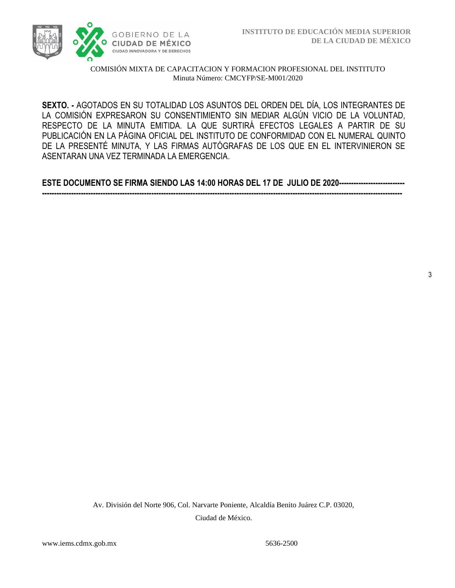

**SEXTO. -** AGOTADOS EN SU TOTALIDAD LOS ASUNTOS DEL ORDEN DEL DÍA, LOS INTEGRANTES DE LA COMISIÓN EXPRESARON SU CONSENTIMIENTO SIN MEDIAR ALGÚN VICIO DE LA VOLUNTAD, RESPECTO DE LA MINUTA EMITIDA. LA QUE SURTIRÁ EFECTOS LEGALES A PARTIR DE SU PUBLICACIÓN EN LA PÁGINA OFICIAL DEL INSTITUTO DE CONFORMIDAD CON EL NUMERAL QUINTO DE LA PRESENTÉ MINUTA, Y LAS FIRMAS AUTÓGRAFAS DE LOS QUE EN EL INTERVINIERON SE ASENTARAN UNA VEZ TERMINADA LA EMERGENCIA.

**ESTE DOCUMENTO SE FIRMA SIENDO LAS 14:00 HORAS DEL 17 DE JULIO DE 2020--------------------------- ----------------------------------------------------------------------------------------------------------------------------------------------------**

> Av. División del Norte 906, Col. Narvarte Poniente, Alcaldía Benito Juárez C.P. 03020, Ciudad de México.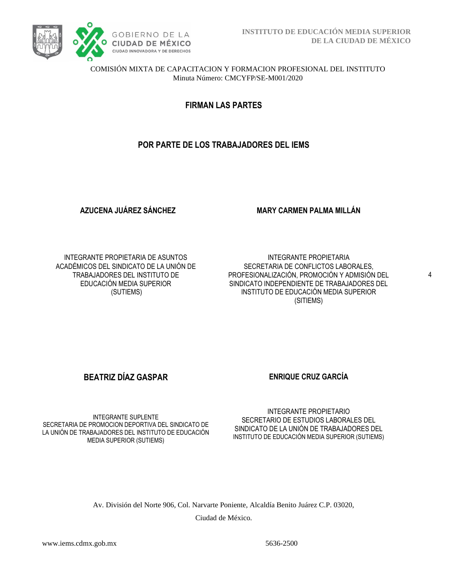

**FIRMAN LAS PARTES**

# **POR PARTE DE LOS TRABAJADORES DEL IEMS**

**AZUCENA JUÁREZ SÁNCHEZ**

**MARY CARMEN PALMA MILLÁN**

INTEGRANTE PROPIETARIA DE ASUNTOS ACADÉMICOS DEL SINDICATO DE LA UNIÓN DE TRABAJADORES DEL INSTITUTO DE EDUCACIÓN MEDIA SUPERIOR (SUTIEMS)

INTEGRANTE PROPIETARIA SECRETARIA DE CONFLICTOS LABORALES, PROFESIONALIZACIÓN, PROMOCIÓN Y ADMISIÓN DEL SINDICATO INDEPENDIENTE DE TRABAJADORES DEL INSTITUTO DE EDUCACIÓN MEDIA SUPERIOR (SITIEMS)

4

# **BEATRIZ DÍAZ GASPAR ENRIQUE CRUZ GARCÍA**

INTEGRANTE SUPLENTE SECRETARIA DE PROMOCION DEPORTIVA DEL SINDICATO DE LA UNIÓN DE TRABAJADORES DEL INSTITUTO DE EDUCACIÓN MEDIA SUPERIOR (SUTIEMS)

INTEGRANTE PROPIETARIO SECRETARIO DE ESTUDIOS LABORALES DEL SINDICATO DE LA UNIÓN DE TRABAJADORES DEL INSTITUTO DE EDUCACIÓN MEDIA SUPERIOR (SUTIEMS)

Av. División del Norte 906, Col. Narvarte Poniente, Alcaldía Benito Juárez C.P. 03020,

Ciudad de México.